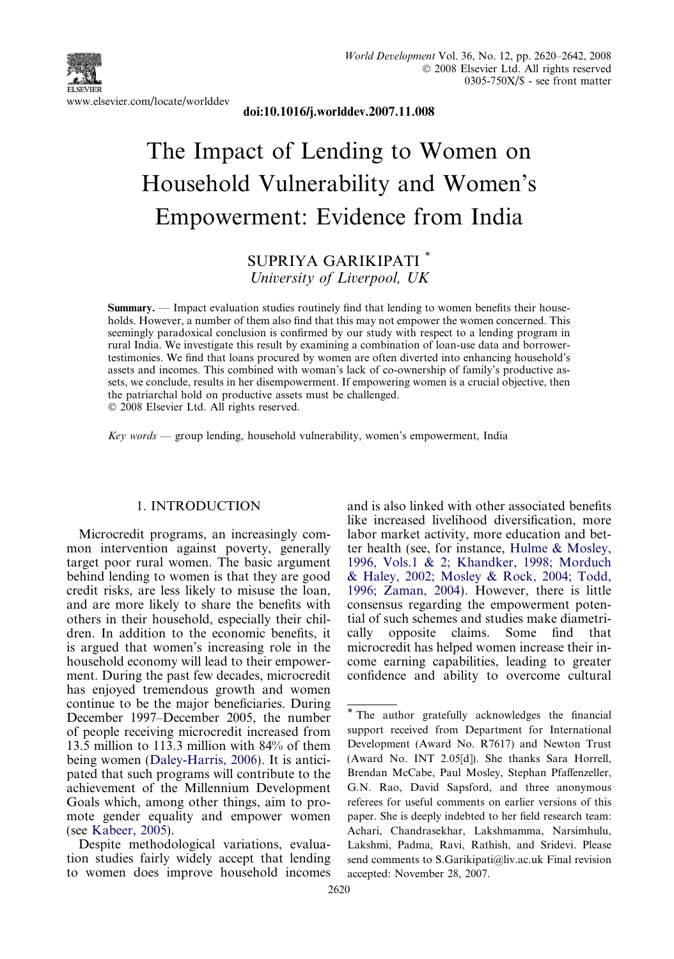World Development Vol. 36, No. 12, pp. 2620–2642, 2008 © 2008 Elsevier Ltd. All rights reserved 0305-750X/\$ - see front matter



doi:10.1016/j.worlddev.2007.11.008

# The Impact of Lending to Women on Household Vulnerability and Women's Empowerment: Evidence from India

### SUPRIYA GARIKIPATI \* University of Liverpool, UK

Summary. — Impact evaluation studies routinely find that lending to women benefits their households. However, a number of them also find that this may not empower the women concerned. This seemingly paradoxical conclusion is confirmed by our study with respect to a lending program in rural India. We investigate this result by examining a combination of loan-use data and borrowertestimonies. We find that loans procured by women are often diverted into enhancing household's assets and incomes. This combined with woman's lack of co-ownership of family's productive assets, we conclude, results in her disempowerment. If empowering women is a crucial objective, then the patriarchal hold on productive assets must be challenged.  $© 2008 Elsevier Ltd. All rights reserved.$ 

 $Key words$  — group lending, household vulnerability, women's empowerment, India

#### 1. INTRODUCTION

Microcredit programs, an increasingly common intervention against poverty, generally target poor rural women. The basic argument behind lending to women is that they are good credit risks, are less likely to misuse the loan, and are more likely to share the benefits with others in their household, especially their children. In addition to the economic benefits, it is argued that women's increasing role in the household economy will lead to their empowerment. During the past few decades, microcredit has enjoyed tremendous growth and women continue to be the major beneficiaries. During December 1997–December 2005, the number of people receiving microcredit increased from 13.5 million to 113.3 million with 84% of them being women [\(Daley-Harris, 2006](#page--1-0)). It is anticipated that such programs will contribute to the achievement of the Millennium Development Goals which, among other things, aim to promote gender equality and empower women (see [Kabeer, 2005\)](#page--1-0).

Despite methodological variations, evaluation studies fairly widely accept that lending to women does improve household incomes

and is also linked with other associated benefits like increased livelihood diversification, more labor market activity, more education and better health (see, for instance, [Hulme & Mosley,](#page--1-0) [1996, Vols.1 & 2; Khandker, 1998; Morduch](#page--1-0) [& Haley, 2002; Mosley & Rock, 2004; Todd,](#page--1-0) [1996; Zaman, 2004](#page--1-0)). However, there is little consensus regarding the empowerment potential of such schemes and studies make diametrically opposite claims. Some find that microcredit has helped women increase their income earning capabilities, leading to greater confidence and ability to overcome cultural

<sup>\*</sup> The author gratefully acknowledges the financial support received from Department for International Development (Award No. R7617) and Newton Trust (Award No. INT 2.05[d]). She thanks Sara Horrell, Brendan McCabe, Paul Mosley, Stephan Pfaffenzeller, G.N. Rao, David Sapsford, and three anonymous referees for useful comments on earlier versions of this paper. She is deeply indebted to her field research team: Achari, Chandrasekhar, Lakshmamma, Narsimhulu, Lakshmi, Padma, Ravi, Rathish, and Sridevi. Please send comments to S.Garikipati@liv.ac.uk Final revision accepted: November 28, 2007.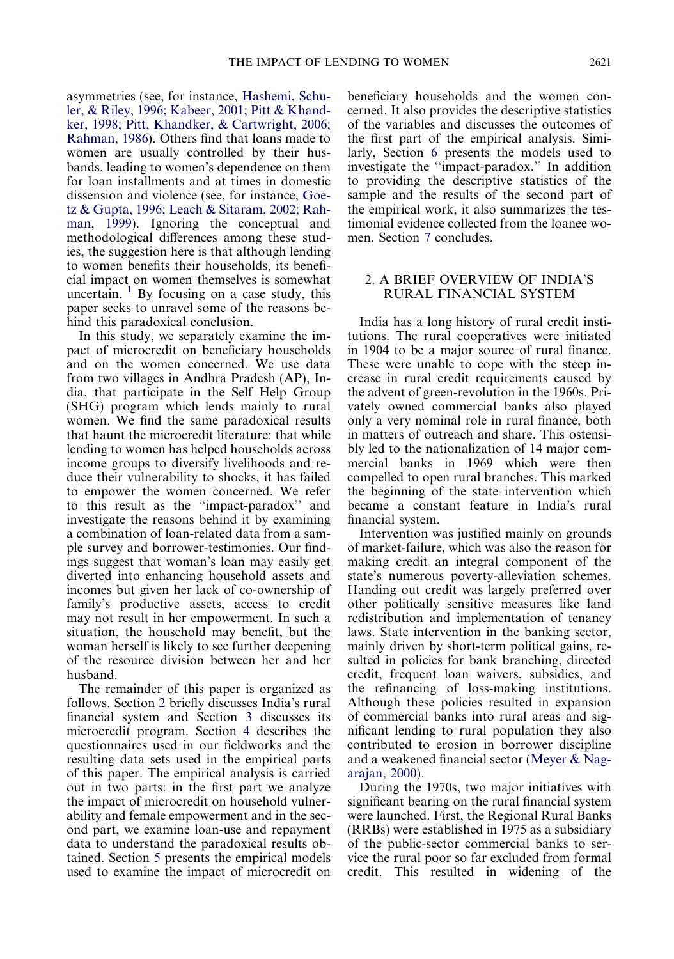asymmetries (see, for instance, [Hashemi, Schu](#page--1-0)[ler, & Riley, 1996; Kabeer, 2001; Pitt & Khand](#page--1-0)[ker, 1998; Pitt, Khandker, & Cartwright, 2006;](#page--1-0) [Rahman, 1986](#page--1-0)). Others find that loans made to women are usually controlled by their husbands, leading to women's dependence on them for loan installments and at times in domestic dissension and violence (see, for instance, [Goe](#page--1-0)[tz & Gupta, 1996; Leach & Sitaram, 2002; Rah](#page--1-0)[man, 1999](#page--1-0)). Ignoring the conceptual and methodological differences among these studies, the suggestion here is that although lending to women benefits their households, its beneficial impact on women themselves is somewhat uncertain.  $1$  By focusing on a case study, this paper seeks to unravel some of the reasons behind this paradoxical conclusion.

In this study, we separately examine the impact of microcredit on beneficiary households and on the women concerned. We use data from two villages in Andhra Pradesh (AP), India, that participate in the Self Help Group (SHG) program which lends mainly to rural women. We find the same paradoxical results that haunt the microcredit literature: that while lending to women has helped households across income groups to diversify livelihoods and reduce their vulnerability to shocks, it has failed to empower the women concerned. We refer to this result as the ''impact-paradox'' and investigate the reasons behind it by examining a combination of loan-related data from a sample survey and borrower-testimonies. Our findings suggest that woman's loan may easily get diverted into enhancing household assets and incomes but given her lack of co-ownership of family's productive assets, access to credit may not result in her empowerment. In such a situation, the household may benefit, but the woman herself is likely to see further deepening of the resource division between her and her husband.

The remainder of this paper is organized as follows. Section 2 briefly discusses India's rural financial system and Section 3 discusses its microcredit program. Section 4 describes the questionnaires used in our fieldworks and the resulting data sets used in the empirical parts of this paper. The empirical analysis is carried out in two parts: in the first part we analyze the impact of microcredit on household vulnerability and female empowerment and in the second part, we examine loan-use and repayment data to understand the paradoxical results obtained. Section 5 presents the empirical models used to examine the impact of microcredit on beneficiary households and the women concerned. It also provides the descriptive statistics of the variables and discusses the outcomes of the first part of the empirical analysis. Similarly, Section 6 presents the models used to investigate the ''impact-paradox.'' In addition to providing the descriptive statistics of the sample and the results of the second part of the empirical work, it also summarizes the testimonial evidence collected from the loanee women. Section 7 concludes.

#### 2. A BRIEF OVERVIEW OF INDIA'S RURAL FINANCIAL SYSTEM

India has a long history of rural credit institutions. The rural cooperatives were initiated in 1904 to be a major source of rural finance. These were unable to cope with the steep increase in rural credit requirements caused by the advent of green-revolution in the 1960s. Privately owned commercial banks also played only a very nominal role in rural finance, both in matters of outreach and share. This ostensibly led to the nationalization of 14 major commercial banks in 1969 which were then compelled to open rural branches. This marked the beginning of the state intervention which became a constant feature in India's rural financial system.

Intervention was justified mainly on grounds of market-failure, which was also the reason for making credit an integral component of the state's numerous poverty-alleviation schemes. Handing out credit was largely preferred over other politically sensitive measures like land redistribution and implementation of tenancy laws. State intervention in the banking sector, mainly driven by short-term political gains, resulted in policies for bank branching, directed credit, frequent loan waivers, subsidies, and the refinancing of loss-making institutions. Although these policies resulted in expansion of commercial banks into rural areas and significant lending to rural population they also contributed to erosion in borrower discipline and a weakened financial sector [\(Meyer & Nag](#page--1-0)[arajan, 2000\)](#page--1-0).

During the 1970s, two major initiatives with significant bearing on the rural financial system were launched. First, the Regional Rural Banks (RRBs) were established in 1975 as a subsidiary of the public-sector commercial banks to service the rural poor so far excluded from formal credit. This resulted in widening of the